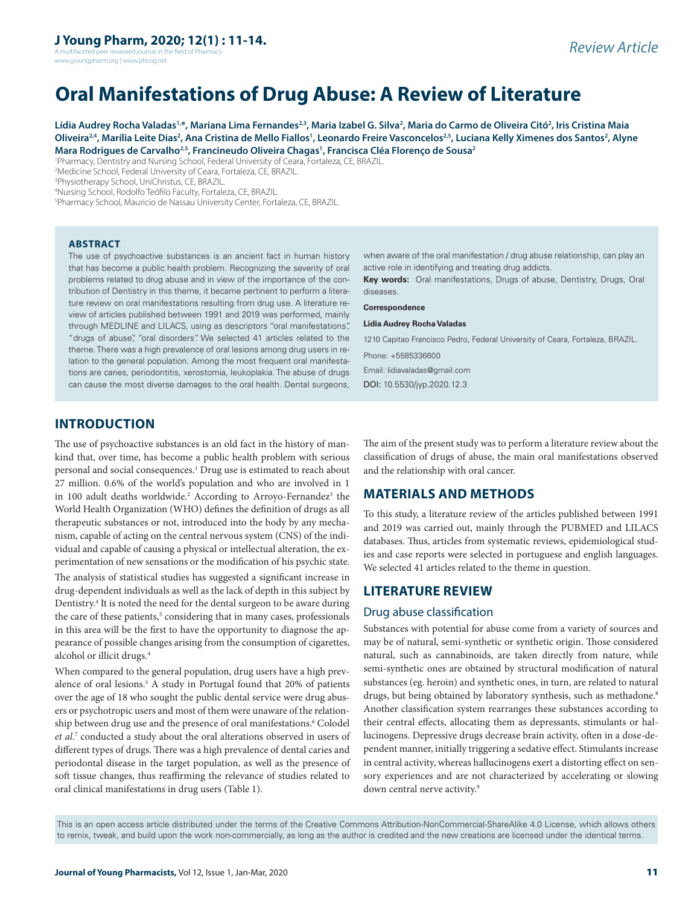A multifaceted peer reviewed journal in the field of Pharmacy www.jyoungpharm.org | www.phcog.net

# **Oral Manifestations of Drug Abuse: A Review of Literature**

Lídia Audrey Rocha Valadas<sup>1,</sup>\*, Mariana Lima Fernandes<sup>2,3</sup>, Maria Izabel G. Silva<sup>2</sup>, Maria do Carmo de Oliveira Citó<sup>2</sup>, Iris Cristina Maia Oliveira<sup>24</sup>, Marília Leite Dias<sup>2</sup>, Ana Cristina de Mello Fiallos<sup>1</sup>, Leonardo Freire Vasconcelos<sup>2,5</sup>, Luciana Kelly Ximenes dos Santos<sup>2</sup>, Alyne **Mara Rodrigues de Carvalho2,5, Francineudo Oliveira Chagas1 , Francisca Cléa Florenço de Sousa2**

1 Pharmacy, Dentistry and Nursing School, Federal University of Ceara, Fortaleza, CE, BRAZIL.

2 Medicine School, Federal University of Ceara, Fortaleza, CE, BRAZIL.

3 Physiotherapy School, UniChristus, CE, BRAZIL.

4 Nursing School, Rodolfo Teófilo Faculty, Fortaleza, CE, BRAZIL.

5 Pharmacy School, Mauricio de Nassau University Center, Fortaleza, CE, BRAZIL.

#### **ABSTRACT**

The use of psychoactive substances is an ancient fact in human history that has become a public health problem. Recognizing the severity of oral problems related to drug abuse and in view of the importance of the contribution of Dentistry in this theme, it became pertinent to perform a literature review on oral manifestations resulting from drug use. A literature review of articles published between 1991 and 2019 was performed, mainly through MEDLINE and LILACS, using as descriptors "oral manifestations", "drugs of abuse", "oral disorders". We selected 41 articles related to the theme. There was a high prevalence of oral lesions among drug users in relation to the general population. Among the most frequent oral manifestations are caries, periodontitis, xerostomia, leukoplakia. The abuse of drugs can cause the most diverse damages to the oral health. Dental surgeons,

when aware of the oral manifestation / drug abuse relationship, can play an active role in identifying and treating drug addicts.

**Key words:** Oral manifestations, Drugs of abuse, Dentistry, Drugs, Oral diseases.

**Correspondence**

#### **Lidia Audrey Rocha Valadas**

1210 Capitao Francisco Pedro, Federal University of Ceara, Fortaleza, BRAZIL.

Phone: +5585336600

Email: lidiavaladas@gmail.com

DOI: 10.5530/jyp.2020.12.3

## **INTRODUCTION**

The use of psychoactive substances is an old fact in the history of mankind that, over time, has become a public health problem with serious personal and social consequences.1 Drug use is estimated to reach about 27 million. 0.6% of the world's population and who are involved in 1 in 100 adult deaths worldwide.<sup>2</sup> According to Arroyo-Fernandez<sup>3</sup> the World Health Organization (WHO) defines the definition of drugs as all therapeutic substances or not, introduced into the body by any mechanism, capable of acting on the central nervous system (CNS) of the individual and capable of causing a physical or intellectual alteration, the experimentation of new sensations or the modification of his psychic state. The analysis of statistical studies has suggested a significant increase in drug-dependent individuals as well as the lack of depth in this subject by Dentistry.<sup>4</sup> It is noted the need for the dental surgeon to be aware during the care of these patients,<sup>5</sup> considering that in many cases, professionals in this area will be the first to have the opportunity to diagnose the appearance of possible changes arising from the consumption of cigarettes, alcohol or illicit drugs.4

When compared to the general population, drug users have a high prevalence of oral lesions.<sup>5</sup> A study in Portugal found that 20% of patients over the age of 18 who sought the public dental service were drug abusers or psychotropic users and most of them were unaware of the relationship between drug use and the presence of oral manifestations.<sup>6</sup> Colodel *et al*. 7 conducted a study about the oral alterations observed in users of different types of drugs. There was a high prevalence of dental caries and periodontal disease in the target population, as well as the presence of soft tissue changes, thus reaffirming the relevance of studies related to oral clinical manifestations in drug users (Table 1).

The aim of the present study was to perform a literature review about the classification of drugs of abuse, the main oral manifestations observed and the relationship with oral cancer.

## **MATERIALS AND METHODS**

To this study, a literature review of the articles published between 1991 and 2019 was carried out, mainly through the PUBMED and LILACS databases. Thus, articles from systematic reviews, epidemiological studies and case reports were selected in portuguese and english languages. We selected 41 articles related to the theme in question.

## **LITERATURE REVIEW**

#### Drug abuse classification

Substances with potential for abuse come from a variety of sources and may be of natural, semi-synthetic or synthetic origin. Those considered natural, such as cannabinoids, are taken directly from nature, while semi-synthetic ones are obtained by structural modification of natural substances (eg. heroin) and synthetic ones, in turn, are related to natural drugs, but being obtained by laboratory synthesis, such as methadone.<sup>8</sup> Another classification system rearranges these substances according to their central effects, allocating them as depressants, stimulants or hallucinogens. Depressive drugs decrease brain activity, often in a dose-dependent manner, initially triggering a sedative effect. Stimulants increase in central activity, whereas hallucinogens exert a distorting effect on sensory experiences and are not characterized by accelerating or slowing down central nerve activity.<sup>9</sup>

This is an open access article distributed under the terms of the Creative Commons Attribution-NonCommercial-ShareAlike 4.0 License, which allows others to remix, tweak, and build upon the work non-commercially, as long as the author is credited and the new creations are licensed under the identical terms.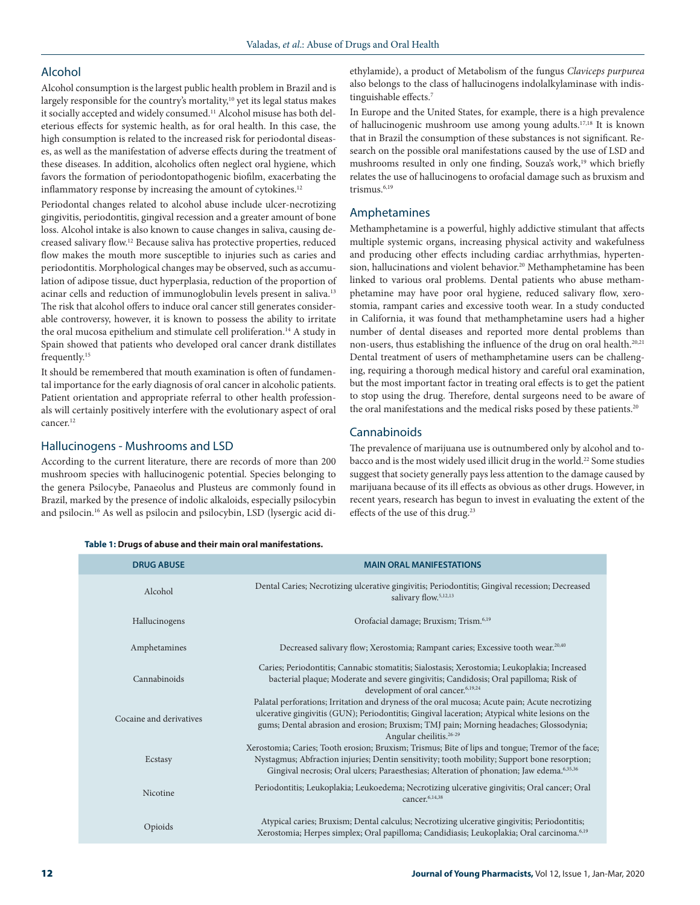## Alcohol

Alcohol consumption is the largest public health problem in Brazil and is largely responsible for the country's mortality,<sup>10</sup> yet its legal status makes it socially accepted and widely consumed.<sup>11</sup> Alcohol misuse has both deleterious effects for systemic health, as for oral health. In this case, the high consumption is related to the increased risk for periodontal diseases, as well as the manifestation of adverse effects during the treatment of these diseases. In addition, alcoholics often neglect oral hygiene, which favors the formation of periodontopathogenic biofilm, exacerbating the inflammatory response by increasing the amount of cytokines.<sup>12</sup>

Periodontal changes related to alcohol abuse include ulcer-necrotizing gingivitis, periodontitis, gingival recession and a greater amount of bone loss. Alcohol intake is also known to cause changes in saliva, causing decreased salivary flow.12 Because saliva has protective properties, reduced flow makes the mouth more susceptible to injuries such as caries and periodontitis. Morphological changes may be observed, such as accumulation of adipose tissue, duct hyperplasia, reduction of the proportion of acinar cells and reduction of immunoglobulin levels present in saliva.<sup>13</sup> The risk that alcohol offers to induce oral cancer still generates considerable controversy, however, it is known to possess the ability to irritate the oral mucosa epithelium and stimulate cell proliferation.<sup>14</sup> A study in Spain showed that patients who developed oral cancer drank distillates frequently.15

It should be remembered that mouth examination is often of fundamental importance for the early diagnosis of oral cancer in alcoholic patients. Patient orientation and appropriate referral to other health professionals will certainly positively interfere with the evolutionary aspect of oral cancer.<sup>12</sup>

#### Hallucinogens - Mushrooms and LSD

According to the current literature, there are records of more than 200 mushroom species with hallucinogenic potential. Species belonging to the genera Psilocybe, Panaeolus and Plusteus are commonly found in Brazil, marked by the presence of indolic alkaloids, especially psilocybin and psilocin.16 As well as psilocin and psilocybin, LSD (lysergic acid diethylamide), a product of Metabolism of the fungus *Claviceps purpurea*  also belongs to the class of hallucinogens indolalkylaminase with indistinguishable effects.7

In Europe and the United States, for example, there is a high prevalence of hallucinogenic mushroom use among young adults.17,18 It is known that in Brazil the consumption of these substances is not significant. Research on the possible oral manifestations caused by the use of LSD and mushrooms resulted in only one finding, Souza's work,<sup>19</sup> which briefly relates the use of hallucinogens to orofacial damage such as bruxism and trismus.<sup>6,19</sup>

#### Amphetamines

Methamphetamine is a powerful, highly addictive stimulant that affects multiple systemic organs, increasing physical activity and wakefulness and producing other effects including cardiac arrhythmias, hypertension, hallucinations and violent behavior.<sup>20</sup> Methamphetamine has been linked to various oral problems. Dental patients who abuse methamphetamine may have poor oral hygiene, reduced salivary flow, xerostomia, rampant caries and excessive tooth wear. In a study conducted in California, it was found that methamphetamine users had a higher number of dental diseases and reported more dental problems than non-users, thus establishing the influence of the drug on oral health.<sup>20,21</sup> Dental treatment of users of methamphetamine users can be challenging, requiring a thorough medical history and careful oral examination, but the most important factor in treating oral effects is to get the patient to stop using the drug. Therefore, dental surgeons need to be aware of the oral manifestations and the medical risks posed by these patients.<sup>20</sup>

#### Cannabinoids

The prevalence of marijuana use is outnumbered only by alcohol and tobacco and is the most widely used illicit drug in the world.<sup>22</sup> Some studies suggest that society generally pays less attention to the damage caused by marijuana because of its ill effects as obvious as other drugs. However, in recent years, research has begun to invest in evaluating the extent of the effects of the use of this drug.<sup>23</sup>

|  |  |  |  |  | Table 1: Drugs of abuse and their main oral manifestations. |
|--|--|--|--|--|-------------------------------------------------------------|
|--|--|--|--|--|-------------------------------------------------------------|

| <b>DRUG ABUSE</b>       | <b>MAIN ORAL MANIFESTATIONS</b>                                                                                                                                                                                                                                                                                                  |  |  |  |
|-------------------------|----------------------------------------------------------------------------------------------------------------------------------------------------------------------------------------------------------------------------------------------------------------------------------------------------------------------------------|--|--|--|
| Alcohol                 | Dental Caries; Necrotizing ulcerative gingivitis; Periodontitis; Gingival recession; Decreased<br>salivary flow. <sup>5,12,13</sup>                                                                                                                                                                                              |  |  |  |
| Hallucinogens           | Orofacial damage; Bruxism; Trism. <sup>6,19</sup>                                                                                                                                                                                                                                                                                |  |  |  |
| Amphetamines            | Decreased salivary flow; Xerostomia; Rampant caries; Excessive tooth wear. <sup>20,40</sup>                                                                                                                                                                                                                                      |  |  |  |
| Cannabinoids            | Caries; Periodontitis; Cannabic stomatitis; Sialostasis; Xerostomia; Leukoplakia; Increased<br>bacterial plaque; Moderate and severe gingivitis; Candidosis; Oral papilloma; Risk of<br>development of oral cancer. <sup>6,19,24</sup>                                                                                           |  |  |  |
| Cocaine and derivatives | Palatal perforations; Irritation and dryness of the oral mucosa; Acute pain; Acute necrotizing<br>ulcerative gingivitis (GUN); Periodontitis; Gingival laceration; Atypical white lesions on the<br>gums; Dental abrasion and erosion; Bruxism; TMJ pain; Morning headaches; Glossodynia;<br>Angular cheilitis. <sup>26-29</sup> |  |  |  |
| Ecstasy                 | Xerostomia; Caries; Tooth erosion; Bruxism; Trismus; Bite of lips and tongue; Tremor of the face;<br>Nystagmus; Abfraction injuries; Dentin sensitivity; tooth mobility; Support bone resorption;<br>Gingival necrosis; Oral ulcers; Paraesthesias; Alteration of phonation; Jaw edema. <sup>6,35,36</sup>                       |  |  |  |
| Nicotine                | Periodontitis; Leukoplakia; Leukoedema; Necrotizing ulcerative gingivitis; Oral cancer; Oral<br>cancer. <sup>6,14,38</sup>                                                                                                                                                                                                       |  |  |  |
| Opioids                 | Atypical caries; Bruxism; Dental calculus; Necrotizing ulcerative gingivitis; Periodontitis;<br>Xerostomia; Herpes simplex; Oral papilloma; Candidiasis; Leukoplakia; Oral carcinoma. <sup>6,19</sup>                                                                                                                            |  |  |  |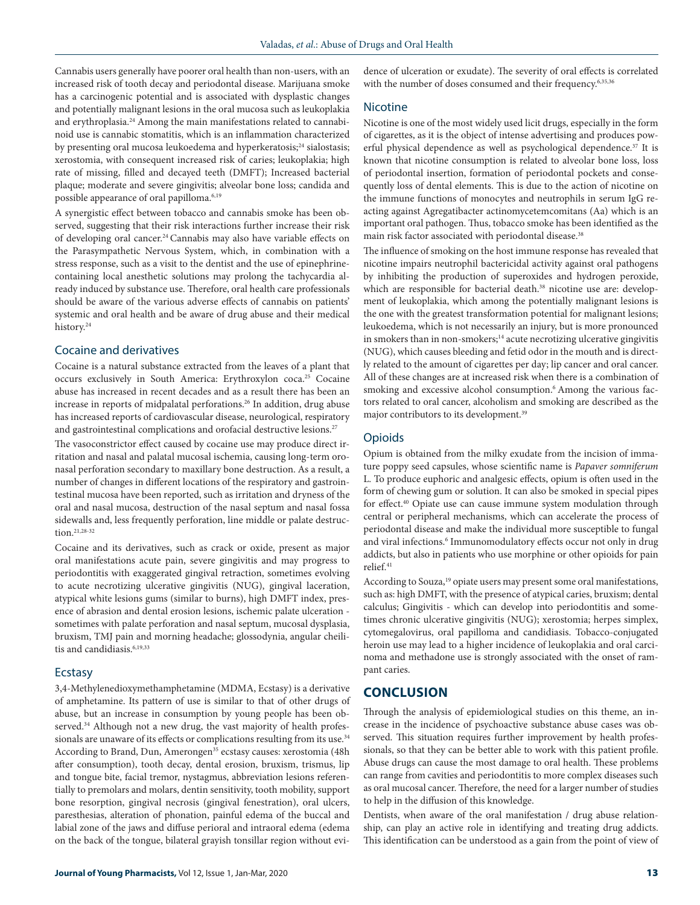Cannabis users generally have poorer oral health than non-users, with an increased risk of tooth decay and periodontal disease. Marijuana smoke has a carcinogenic potential and is associated with dysplastic changes and potentially malignant lesions in the oral mucosa such as leukoplakia and erythroplasia.24 Among the main manifestations related to cannabinoid use is cannabic stomatitis, which is an inflammation characterized by presenting oral mucosa leukoedema and hyperkeratosis;<sup>24</sup> sialostasis; xerostomia, with consequent increased risk of caries; leukoplakia; high rate of missing, filled and decayed teeth (DMFT); Increased bacterial plaque; moderate and severe gingivitis; alveolar bone loss; candida and possible appearance of oral papilloma.<sup>6,19</sup>

A synergistic effect between tobacco and cannabis smoke has been observed, suggesting that their risk interactions further increase their risk of developing oral cancer.24 Cannabis may also have variable effects on the Parasympathetic Nervous System, which, in combination with a stress response, such as a visit to the dentist and the use of epinephrinecontaining local anesthetic solutions may prolong the tachycardia already induced by substance use. Therefore, oral health care professionals should be aware of the various adverse effects of cannabis on patients' systemic and oral health and be aware of drug abuse and their medical history.<sup>24</sup>

#### Cocaine and derivatives

Cocaine is a natural substance extracted from the leaves of a plant that occurs exclusively in South America: Erythroxylon coca.<sup>25</sup> Cocaine abuse has increased in recent decades and as a result there has been an increase in reports of midpalatal perforations.<sup>26</sup> In addition, drug abuse has increased reports of cardiovascular disease, neurological, respiratory and gastrointestinal complications and orofacial destructive lesions.<sup>27</sup>

The vasoconstrictor effect caused by cocaine use may produce direct irritation and nasal and palatal mucosal ischemia, causing long-term oronasal perforation secondary to maxillary bone destruction. As a result, a number of changes in different locations of the respiratory and gastrointestinal mucosa have been reported, such as irritation and dryness of the oral and nasal mucosa, destruction of the nasal septum and nasal fossa sidewalls and, less frequently perforation, line middle or palate destruction.21,28-32

Cocaine and its derivatives, such as crack or oxide, present as major oral manifestations acute pain, severe gingivitis and may progress to periodontitis with exaggerated gingival retraction, sometimes evolving to acute necrotizing ulcerative gingivitis (NUG), gingival laceration, atypical white lesions gums (similar to burns), high DMFT index, presence of abrasion and dental erosion lesions, ischemic palate ulceration sometimes with palate perforation and nasal septum, mucosal dysplasia, bruxism, TMJ pain and morning headache; glossodynia, angular cheilitis and candidiasis.<sup>6,19,33</sup>

### Ecstasy

3,4-Methylenedioxymethamphetamine (MDMA, Ecstasy) is a derivative of amphetamine. Its pattern of use is similar to that of other drugs of abuse, but an increase in consumption by young people has been observed.<sup>34</sup> Although not a new drug, the vast majority of health professionals are unaware of its effects or complications resulting from its use.<sup>34</sup> According to Brand, Dun, Amerongen<sup>35</sup> ecstasy causes: xerostomia (48h after consumption), tooth decay, dental erosion, bruxism, trismus, lip and tongue bite, facial tremor, nystagmus, abbreviation lesions referentially to premolars and molars, dentin sensitivity, tooth mobility, support bone resorption, gingival necrosis (gingival fenestration), oral ulcers, paresthesias, alteration of phonation, painful edema of the buccal and labial zone of the jaws and diffuse perioral and intraoral edema (edema on the back of the tongue, bilateral grayish tonsillar region without evidence of ulceration or exudate). The severity of oral effects is correlated with the number of doses consumed and their frequency.<sup>6,35,36</sup>

#### Nicotine

Nicotine is one of the most widely used licit drugs, especially in the form of cigarettes, as it is the object of intense advertising and produces powerful physical dependence as well as psychological dependence.<sup>37</sup> It is known that nicotine consumption is related to alveolar bone loss, loss of periodontal insertion, formation of periodontal pockets and consequently loss of dental elements. This is due to the action of nicotine on the immune functions of monocytes and neutrophils in serum IgG reacting against Agregatibacter actinomycetemcomitans (Aa) which is an important oral pathogen. Thus, tobacco smoke has been identified as the main risk factor associated with periodontal disease.<sup>38</sup>

The influence of smoking on the host immune response has revealed that nicotine impairs neutrophil bactericidal activity against oral pathogens by inhibiting the production of superoxides and hydrogen peroxide, which are responsible for bacterial death.<sup>38</sup> nicotine use are: development of leukoplakia, which among the potentially malignant lesions is the one with the greatest transformation potential for malignant lesions; leukoedema, which is not necessarily an injury, but is more pronounced in smokers than in non-smokers;<sup>14</sup> acute necrotizing ulcerative gingivitis (NUG), which causes bleeding and fetid odor in the mouth and is directly related to the amount of cigarettes per day; lip cancer and oral cancer. All of these changes are at increased risk when there is a combination of smoking and excessive alcohol consumption.<sup>6</sup> Among the various factors related to oral cancer, alcoholism and smoking are described as the major contributors to its development.39

#### Opioids

Opium is obtained from the milky exudate from the incision of immature poppy seed capsules, whose scientific name is *Papaver somniferum*  L. To produce euphoric and analgesic effects, opium is often used in the form of chewing gum or solution. It can also be smoked in special pipes for effect.40 Opiate use can cause immune system modulation through central or peripheral mechanisms, which can accelerate the process of periodontal disease and make the individual more susceptible to fungal and viral infections.<sup>6</sup> Immunomodulatory effects occur not only in drug addicts, but also in patients who use morphine or other opioids for pain relief<sup>41</sup>

According to Souza,<sup>19</sup> opiate users may present some oral manifestations, such as: high DMFT, with the presence of atypical caries, bruxism; dental calculus; Gingivitis - which can develop into periodontitis and sometimes chronic ulcerative gingivitis (NUG); xerostomia; herpes simplex, cytomegalovirus, oral papilloma and candidiasis. Tobacco-conjugated heroin use may lead to a higher incidence of leukoplakia and oral carcinoma and methadone use is strongly associated with the onset of rampant caries.

#### **CONCLUSION**

Through the analysis of epidemiological studies on this theme, an increase in the incidence of psychoactive substance abuse cases was observed. This situation requires further improvement by health professionals, so that they can be better able to work with this patient profile. Abuse drugs can cause the most damage to oral health. These problems can range from cavities and periodontitis to more complex diseases such as oral mucosal cancer. Therefore, the need for a larger number of studies to help in the diffusion of this knowledge.

Dentists, when aware of the oral manifestation / drug abuse relationship, can play an active role in identifying and treating drug addicts. This identification can be understood as a gain from the point of view of